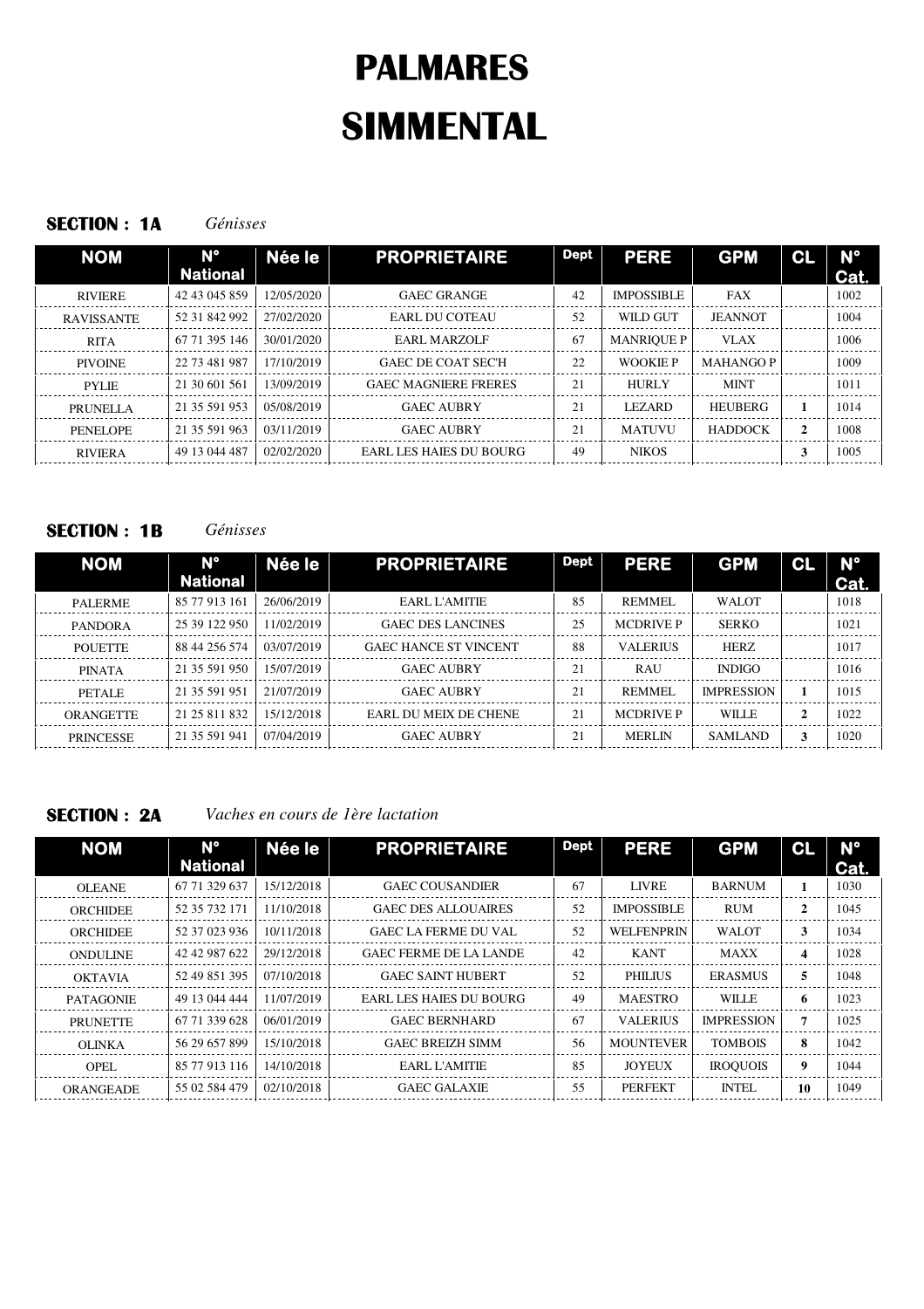## **SECTION : 1A** *Génisses*

| <b>NOM</b>        | $N^{\circ}$<br><b>National</b> | Née le     | <b>PROPRIETAIRE</b>         | <b>Dept</b> | <b>PERE</b>       | <b>GPM</b>       | CL | N°<br>Cat. |
|-------------------|--------------------------------|------------|-----------------------------|-------------|-------------------|------------------|----|------------|
| <b>RIVIERE</b>    | 42 43 045 859                  | 12/05/2020 | <b>GAEC GRANGE</b>          | 42          | <b>IMPOSSIBLE</b> | FAX              |    | 1002       |
| <b>RAVISSANTE</b> | 52 31 842 992                  | 27/02/2020 | EARL DU COTEAU              | 52          | WILD GUT          | <b>JEANNOT</b>   |    | 1004       |
| <b>RITA</b>       | 67 71 395 146                  | 30/01/2020 | EARL MARZOLF                | 67          | <b>MANRIQUE P</b> | VLAX             |    | 1006       |
| <b>PIVOINE</b>    | 22 73 481 987                  | 17/10/2019 | <b>GAEC DE COAT SEC'H</b>   | 22          | <b>WOOKIE P</b>   | <b>MAHANGO P</b> |    | 1009       |
| <b>PYLIE</b>      | 21 30 601 561                  | 13/09/2019 | <b>GAEC MAGNIERE FRERES</b> | 21          | <b>HURLY</b>      | <b>MINT</b>      |    | 1011       |
| <b>PRUNELLA</b>   | 21 35 591 953                  | 05/08/2019 | <b>GAEC AUBRY</b>           | 21          | <b>LEZARD</b>     | <b>HEUBERG</b>   |    | 1014       |
| PENELOPE          | 21 35 591 963                  | 03/11/2019 | <b>GAEC AUBRY</b>           | 21          | <b>MATUVU</b>     | <b>HADDOCK</b>   | 2  | 1008       |
| <b>RIVIERA</b>    | 49 13 044 487                  | 02/02/2020 | EARL LES HAIES DU BOURG     | 49          | <b>NIKOS</b>      |                  | 3  | 1005       |

# **SECTION : 1B** *Génisses*

| <b>NOM</b>       | N°<br><b>National</b> | Née le     | <b>PROPRIETAIRE</b>          | <b>Dept</b> | <b>PERE</b>      | <b>GPM</b>        | CL           | $N^{\circ}$<br>Cat. |
|------------------|-----------------------|------------|------------------------------|-------------|------------------|-------------------|--------------|---------------------|
| <b>PALERME</b>   | 85 77 913 161         | 26/06/2019 | EARL L'AMITIE                | 85          | <b>REMMEL</b>    | <b>WALOT</b>      |              | 1018                |
| <b>PANDORA</b>   | 25 39 122 950         | 11/02/2019 | <b>GAEC DES LANCINES</b>     | 25          | <b>MCDRIVE P</b> | <b>SERKO</b>      |              | 1021                |
| <b>POUETTE</b>   | 88 44 256 574         | 03/07/2019 | <b>GAEC HANCE ST VINCENT</b> | 88          | <b>VALERIUS</b>  | <b>HERZ</b>       |              | 1017                |
| <b>PINATA</b>    | 21 35 591 950         | 15/07/2019 | <b>GAEC AUBRY</b>            | 21          | <b>RAU</b>       | <b>INDIGO</b>     |              | 1016                |
| <b>PETALE</b>    | 21 35 591 951         | 21/07/2019 | <b>GAEC AUBRY</b>            | 21          | <b>REMMEL</b>    | <b>IMPRESSION</b> |              | 1015                |
| ORANGETTE        | 21 25 811 832         | 15/12/2018 | EARL DU MEIX DE CHENE        | 21          | <b>MCDRIVE P</b> | <b>WILLE</b>      | $\mathbf{2}$ | 1022                |
| <b>PRINCESSE</b> | 21 35 591 941         | 07/04/2019 | <b>GAEC AUBRY</b>            | 21          | <b>MERLIN</b>    | <b>SAMLAND</b>    | 3            | 1020                |

**SECTION : 2A** *Vaches en cours de 1ère lactation*

| $N^{\circ}$<br><b>National</b> | Née le     | <b>PROPRIETAIRE</b>            | <b>Dept</b> | <b>PERE</b>       | <b>GPM</b>        | CL           | <b>N°</b><br>Cat. |
|--------------------------------|------------|--------------------------------|-------------|-------------------|-------------------|--------------|-------------------|
| 67 71 329 637                  | 15/12/2018 | <b>GAEC COUSANDIER</b>         | 67          | LIVRE             | <b>BARNUM</b>     |              | 1030              |
| 52 35 732 171                  | 11/10/2018 | <b>GAEC DES ALLOUAIRES</b>     | 52          | <b>IMPOSSIBLE</b> | <b>RUM</b>        | $\mathbf{2}$ | 1045              |
| 52 37 023 936                  | 10/11/2018 | <b>GAEC LA FERME DU VAL</b>    | 52          | <b>WELFENPRIN</b> | <b>WALOT</b>      | 3            | 1034              |
| 42 42 987 622                  | 29/12/2018 | <b>GAEC FERME DE LA LANDE</b>  | 42          | <b>KANT</b>       | <b>MAXX</b>       | 4            | 1028              |
| 52 49 851 395                  | 07/10/2018 | <b>GAEC SAINT HUBERT</b>       | 52          | <b>PHILIUS</b>    | <b>ERASMUS</b>    | 5.           | 1048              |
| 49 13 044 444                  | 11/07/2019 | <b>EARL LES HAIES DU BOURG</b> | 49          | <b>MAESTRO</b>    | <b>WILLE</b>      | 6            | 1023              |
| 67 71 339 628                  | 06/01/2019 | <b>GAEC BERNHARD</b>           | 67          | <b>VALERIUS</b>   | <b>IMPRESSION</b> | 7            | 1025              |
| 56 29 657 899                  | 15/10/2018 | <b>GAEC BREIZH SIMM</b>        | 56          | <b>MOUNTEVER</b>  | <b>TOMBOIS</b>    | 8            | 1042              |
| 85 77 913 116                  | 14/10/2018 | EARL L'AMITIE                  | 85          | <b>JOYEUX</b>     | <b>IROQUOIS</b>   | 9            | 1044              |
| 55 02 584 479                  | 02/10/2018 | <b>GAEC GALAXIE</b>            | 55          | <b>PERFEKT</b>    | <b>INTEL</b>      | 10           | 1049              |
|                                |            |                                |             |                   |                   |              |                   |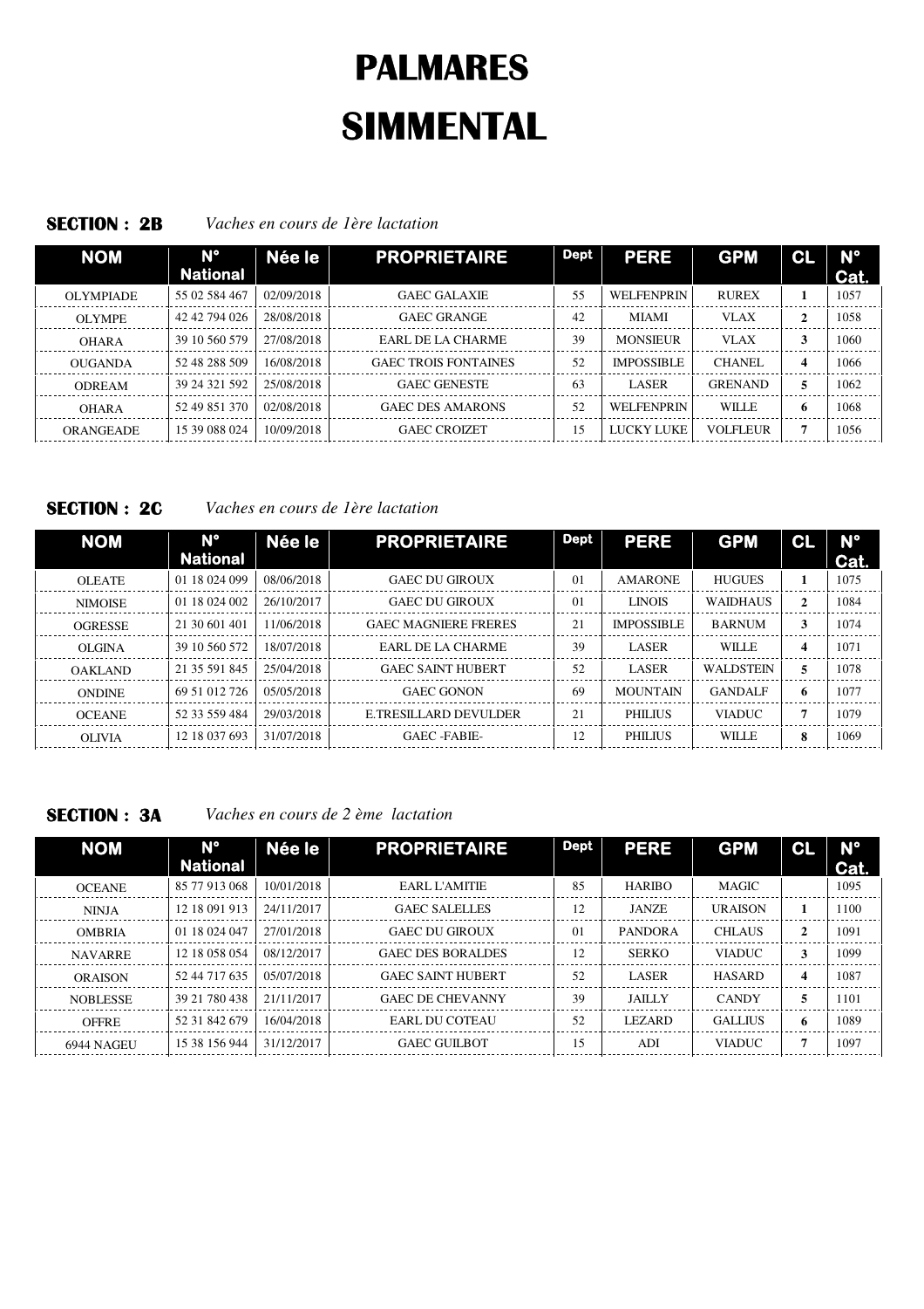### **SECTION : 2B** *Vaches en cours de 1ère lactation*

| <b>NOM</b>       | <b>N°</b><br><b>National</b> | Née le     | <b>PROPRIETAIRE</b>         | Dept | <b>PERE</b>       | <b>GPM</b>      | CL               | $N^{\circ}$<br>Cat. |
|------------------|------------------------------|------------|-----------------------------|------|-------------------|-----------------|------------------|---------------------|
| <b>OLYMPIADE</b> | 55 02 584 467                | 02/09/2018 | <b>GAEC GALAXIE</b>         | 55   | <b>WELFENPRIN</b> | <b>RUREX</b>    |                  | 1057                |
| <b>OLYMPE</b>    | 42 42 794 026                | 28/08/2018 | <b>GAEC GRANGE</b>          | 42   | <b>MIAMI</b>      | <b>VLAX</b>     | $\mathbf{2}$     | 1058                |
| <b>OHARA</b>     | 39 10 560 579                | 27/08/2018 | EARL DE LA CHARME           | 39   | <b>MONSIEUR</b>   | <b>VLAX</b>     | 3                | 1060                |
| OUGANDA          | 52 48 288 509                | 16/08/2018 | <b>GAEC TROIS FONTAINES</b> | 52   | <b>IMPOSSIBLE</b> | <b>CHANEL</b>   | $\boldsymbol{4}$ | 1066                |
| <b>ODREAM</b>    | 39 24 321 592                | 25/08/2018 | <b>GAEC GENESTE</b>         | 63   | <b>LASER</b>      | <b>GRENAND</b>  | 5                | 1062                |
| <b>OHARA</b>     | 52 49 851 370                | 02/08/2018 | <b>GAEC DES AMARONS</b>     | 52   | <b>WELFENPRIN</b> | <b>WILLE</b>    | 6                | 1068                |
| <b>ORANGEADE</b> | 15 39 088 024                | 10/09/2018 | <b>GAEC CROIZET</b>         | 15.  | LUCKY LUKE        | <b>VOLFLEUR</b> | п                | 1056                |

**SECTION : 2C** *Vaches en cours de 1ère lactation*

| <b>NOM</b>     | N°<br><b>National</b> | Née le     | <b>PROPRIETAIRE</b>         | Dept           | <b>PERE</b>       | <b>GPM</b>       | CL                      | $N^{\circ}$<br>Cat. |
|----------------|-----------------------|------------|-----------------------------|----------------|-------------------|------------------|-------------------------|---------------------|
| <b>OLEATE</b>  | 01 18 024 099         | 08/06/2018 | <b>GAEC DU GIROUX</b>       | 0 <sub>1</sub> | <b>AMARONE</b>    | <b>HUGUES</b>    |                         | 1075                |
| <b>NIMOISE</b> | 01 18 024 002         | 26/10/2017 | <b>GAEC DU GIROUX</b>       | $\Omega$       | <b>LINOIS</b>     | <b>WAIDHAUS</b>  | 2                       | 1084                |
| <b>OGRESSE</b> | 21 30 601 401         | 11/06/2018 | <b>GAEC MAGNIERE FRERES</b> | 21             | <b>IMPOSSIBLE</b> | <b>BARNUM</b>    | 3                       | 1074                |
| <b>OLGINA</b>  | 39 10 560 572         | 18/07/2018 | EARL DE LA CHARME           | 39             | <b>LASER</b>      | <b>WILLE</b>     | $\overline{\mathbf{4}}$ | 1071                |
| <b>OAKLAND</b> | 21 35 591 845         | 25/04/2018 | <b>GAEC SAINT HUBERT</b>    | 52             | <b>LASER</b>      | <b>WALDSTEIN</b> | 5                       | 1078                |
| <b>ONDINE</b>  | 69 51 012 726         | 05/05/2018 | <b>GAEC GONON</b>           | 69             | <b>MOUNTAIN</b>   | <b>GANDALF</b>   | 6                       | 1077                |
| <b>OCEANE</b>  | 52 33 559 484         | 29/03/2018 | E.TRESILLARD DEVULDER       | 21             | <b>PHILIUS</b>    | <b>VIADUC</b>    | 7                       | 1079                |
| <b>OLIVIA</b>  | 12 18 037 693         | 31/07/2018 | GAEC-FABIE-                 | 12             | <b>PHILIUS</b>    | WILLE            | 8                       | 1069                |

**SECTION : 3A** *Vaches en cours de 2 ème lactation*

| <b>NOM</b>      | $N^{\circ}$<br><b>National</b> | Née le      | <b>PROPRIETAIRE</b>      | <b>Dept</b> | <b>PERE</b>    | <b>GPM</b>     | <b>CL</b>    | $N^{\circ}$<br>Cat. |
|-----------------|--------------------------------|-------------|--------------------------|-------------|----------------|----------------|--------------|---------------------|
| <b>OCEANE</b>   | 85 77 913 068                  | 10/01/2018  | EARL L'AMITIE            | 85          | <b>HARIBO</b>  | <b>MAGIC</b>   |              | 1095                |
| <b>NINJA</b>    | 12 18 091 913                  | 24/11/2017  | GAEC SALELLES            | 12          | <b>JANZE</b>   | <b>URAISON</b> |              | 1100                |
| <b>OMBRIA</b>   | 01 18 024 047                  | 27/01/2018  | <b>GAEC DU GIROUX</b>    | $\Omega$    | <b>PANDORA</b> | <b>CHLAUS</b>  | $\mathbf{2}$ | 1091                |
| <b>NAVARRE</b>  | 12 18 058 054                  | 08/12/2017  | <b>GAEC DES BORALDES</b> | 12          | <b>SERKO</b>   | <b>VIADUC</b>  |              | 1099                |
| <b>ORAISON</b>  | 52 44 717 635                  | 0.5/07/2018 | <b>GAEC SAINT HUBERT</b> | 52          | <b>LASER</b>   | <b>HASARD</b>  | 4            | 1087                |
| <b>NOBLESSE</b> | 39 21 780 438                  | 21/11/2017  | <b>GAEC DE CHEVANNY</b>  | 39          | <b>JAILLY</b>  | <b>CANDY</b>   | 5.           | 1101                |
| <b>OFFRE</b>    | 52 31 842 679                  | 16/04/2018  | EARL DU COTEAU           | 52          | <b>LEZARD</b>  | <b>GALLIUS</b> | 6            | 1089                |
| 6944 NAGEU      | 15 38 156 944                  | 31/12/2017  | <b>GAEC GUILBOT</b>      | 15          | ADI            | <b>VIADUC</b>  | 7            | 1097                |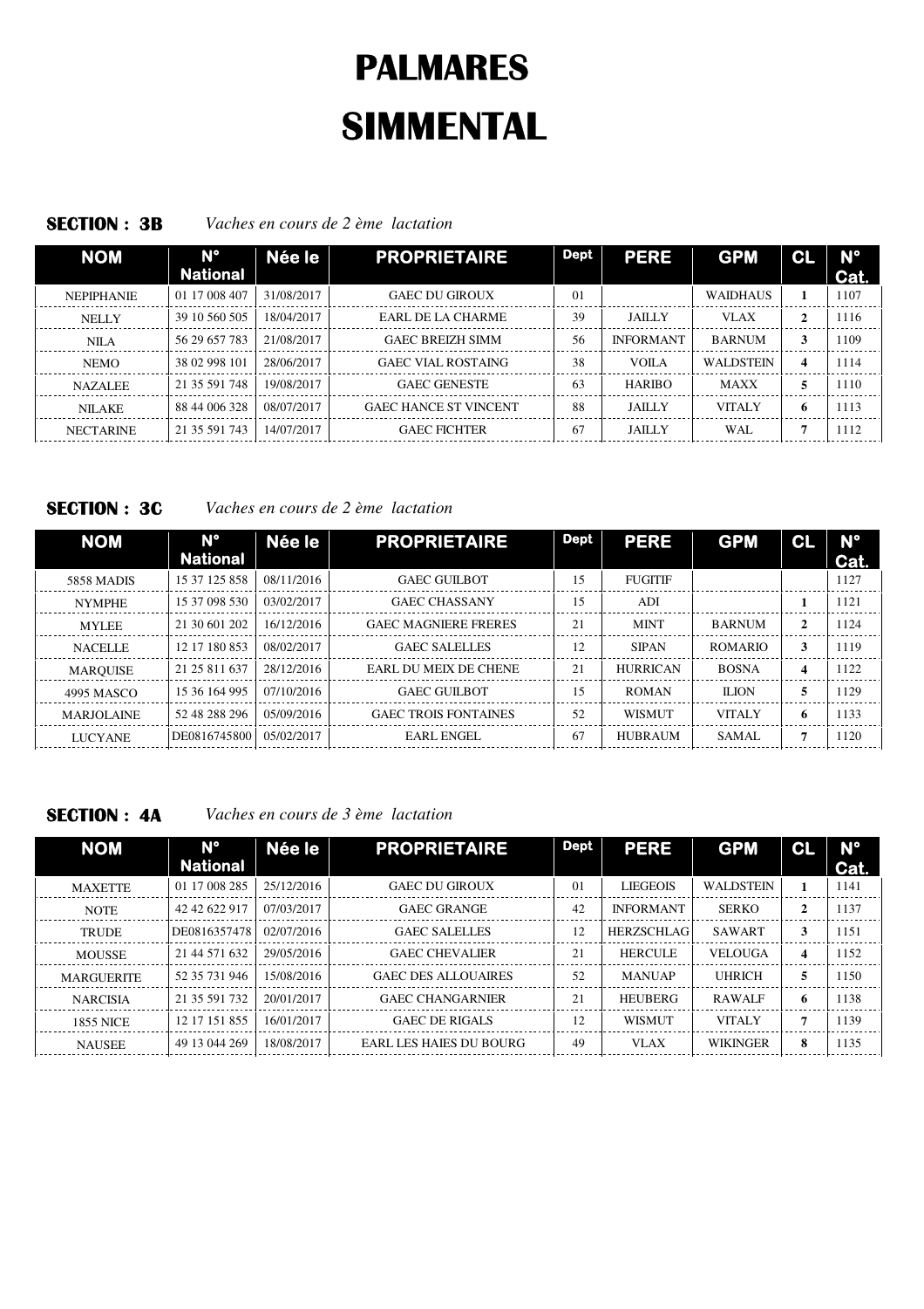## **SECTION : 3B** *Vaches en cours de 2 ème lactation*

| <b>NOM</b>        | $N^{\circ}$<br><b>National</b> | Née le     | <b>PROPRIETAIRE</b>          | <b>Dept</b>    | <b>PERE</b>      | <b>GPM</b>       | <b>GL</b>    | $N^{\circ}$<br>Cat. |
|-------------------|--------------------------------|------------|------------------------------|----------------|------------------|------------------|--------------|---------------------|
| <b>NEPIPHANIE</b> | 01 17 008 407                  | 31/08/2017 | <b>GAEC DU GIROUX</b>        | 0 <sub>1</sub> |                  | <b>WAIDHAUS</b>  |              | 1107                |
| <b>NELLY</b>      | 39 10 560 505                  | 18/04/2017 | EARL DE LA CHARME            | 39             | <b>JAILLY</b>    | <b>VLAX</b>      | $\mathbf{2}$ | 1116                |
| NILA              | 56 29 657 783                  | 21/08/2017 | <b>GAEC BREIZH SIMM</b>      | 56             | <b>INFORMANT</b> | <b>BARNUM</b>    | 3            | 1109                |
| <b>NEMO</b>       | 38 02 998 101                  | 28/06/2017 | <b>GAEC VIAL ROSTAING</b>    | 38             | VOILA            | <b>WALDSTEIN</b> | 4            | 1114                |
| <b>NAZALEE</b>    | 21 35 591 748                  | 19/08/2017 | <b>GAEC GENESTE</b>          | 63             | <b>HARIBO</b>    | <b>MAXX</b>      | 5            | 1110                |
| <b>NILAKE</b>     | 88 44 006 328                  | 08/07/2017 | <b>GAEC HANCE ST VINCENT</b> | 88             | <b>JAILLY</b>    | <b>VITALY</b>    | 6            | 1113                |
| <b>NECTARINE</b>  | 21 35 591 743                  | 14/07/2017 | <b>GAEC FICHTER</b>          | 67             | <b>JAILLY</b>    | WAL.             | −            | 1112                |

# **SECTION : 3C** *Vaches en cours de 2 ème lactation*

| <b>NOM</b>        | $N^{\circ}$<br><b>National</b> | Née le     | <b>PROPRIETAIRE</b>          | <b>Dept</b> | <b>PERE</b>     | <b>GPM</b>     | CL           | <b>N°</b><br>Cat. |
|-------------------|--------------------------------|------------|------------------------------|-------------|-----------------|----------------|--------------|-------------------|
| <b>5858 MADIS</b> | 15 37 125 858                  | 08/11/2016 | <b>GAEC GUILBOT</b>          | 15          | <b>FUGITIF</b>  |                |              | 1127              |
| <b>NYMPHE</b>     | 15 37 098 530                  | 03/02/2017 | <b>GAEC CHASSANY</b>         | 15          | ADI             |                |              | 1121              |
| <b>MYLEE</b>      | 21 30 601 202                  | 16/12/2016 | <b>GAEC MAGNIERE FRERES</b>  | 21          | <b>MINT</b>     | <b>BARNUM</b>  | $\mathbf{2}$ | 1124              |
| <b>NACELLE</b>    | 12 17 180 853                  | 08/02/2017 | <b>GAEC SALELLES</b>         | 12          | <b>SIPAN</b>    | <b>ROMARIO</b> | 3            | 1119              |
| <b>MARQUISE</b>   | 21 25 811 637                  | 28/12/2016 | <b>EARL DU MEIX DE CHENE</b> | 21          | <b>HURRICAN</b> | <b>BOSNA</b>   | 4            | 1122              |
| 4995 MASCO        | 15 36 164 995                  | 07/10/2016 | <b>GAEC GUILBOT</b>          | 15          | <b>ROMAN</b>    | <b>ILION</b>   | 5            | 1129              |
| <b>MARJOLAINE</b> | 52 48 288 296                  | 05/09/2016 | <b>GAEC TROIS FONTAINES</b>  | 52          | <b>WISMUT</b>   | <b>VITALY</b>  | 6            | 1133              |
| <b>LUCYANE</b>    | DE0816745800                   | 05/02/2017 | EARL ENGEL                   | 67          | <b>HUBRAUM</b>  | SAMAL          |              | 1120              |

**SECTION : 4A** *Vaches en cours de 3 ème lactation*

| <b>NOM</b>        | $N^{\circ}$<br><b>National</b> | Née le     | <b>PROPRIETAIRE</b>        | <b>Dept</b>    | <b>PERE</b>       | <b>GPM</b>       | CL           | $N^{\circ}$<br>Cat. |
|-------------------|--------------------------------|------------|----------------------------|----------------|-------------------|------------------|--------------|---------------------|
| <b>MAXETTE</b>    | 01 17 008 285                  | 25/12/2016 | <b>GAEC DU GIROUX</b>      | 0 <sub>1</sub> | <b>LIEGEOIS</b>   | <b>WALDSTEIN</b> | 1            | 1141                |
| <b>NOTE</b>       | 42 42 622 917                  | 07/03/2017 | <b>GAEC GRANGE</b>         | 42             | <b>INFORMANT</b>  | <b>SERKO</b>     | $\mathbf{2}$ | 1137                |
| <b>TRUDE</b>      | DE0816357478                   | 02/07/2016 | <b>GAEC SALELLES</b>       | 12             | <b>HERZSCHLAG</b> | <b>SAWART</b>    | 3            | 1151                |
| <b>MOUSSE</b>     | 21 44 571 632                  | 29/05/2016 | <b>GAEC CHEVALIER</b>      | 21             | <b>HERCULE</b>    | <b>VELOUGA</b>   | 4            | 1152                |
| <b>MARGUERITE</b> | 52 35 731 946                  | 15/08/2016 | <b>GAEC DES ALLOUAIRES</b> | 52             | <b>MANUAP</b>     | <b>UHRICH</b>    | 5            | 1150                |
| <b>NARCISIA</b>   | 21 35 591 732                  | 20/01/2017 | <b>GAEC CHANGARNIER</b>    | 21             | <b>HEUBERG</b>    | <b>RAWALF</b>    | 6            | 1138                |
| <b>1855 NICE</b>  | 12 17 151 855                  | 16/01/2017 | <b>GAEC DE RIGALS</b>      | 12             | <b>WISMUT</b>     | <b>VITALY</b>    | 7            | 1139                |
| <b>NAUSEE</b>     | 49 13 044 269                  | 18/08/2017 | EARL LES HAIES DU BOURG    | 49             | <b>VLAX</b>       | <b>WIKINGER</b>  | 8            | 1135                |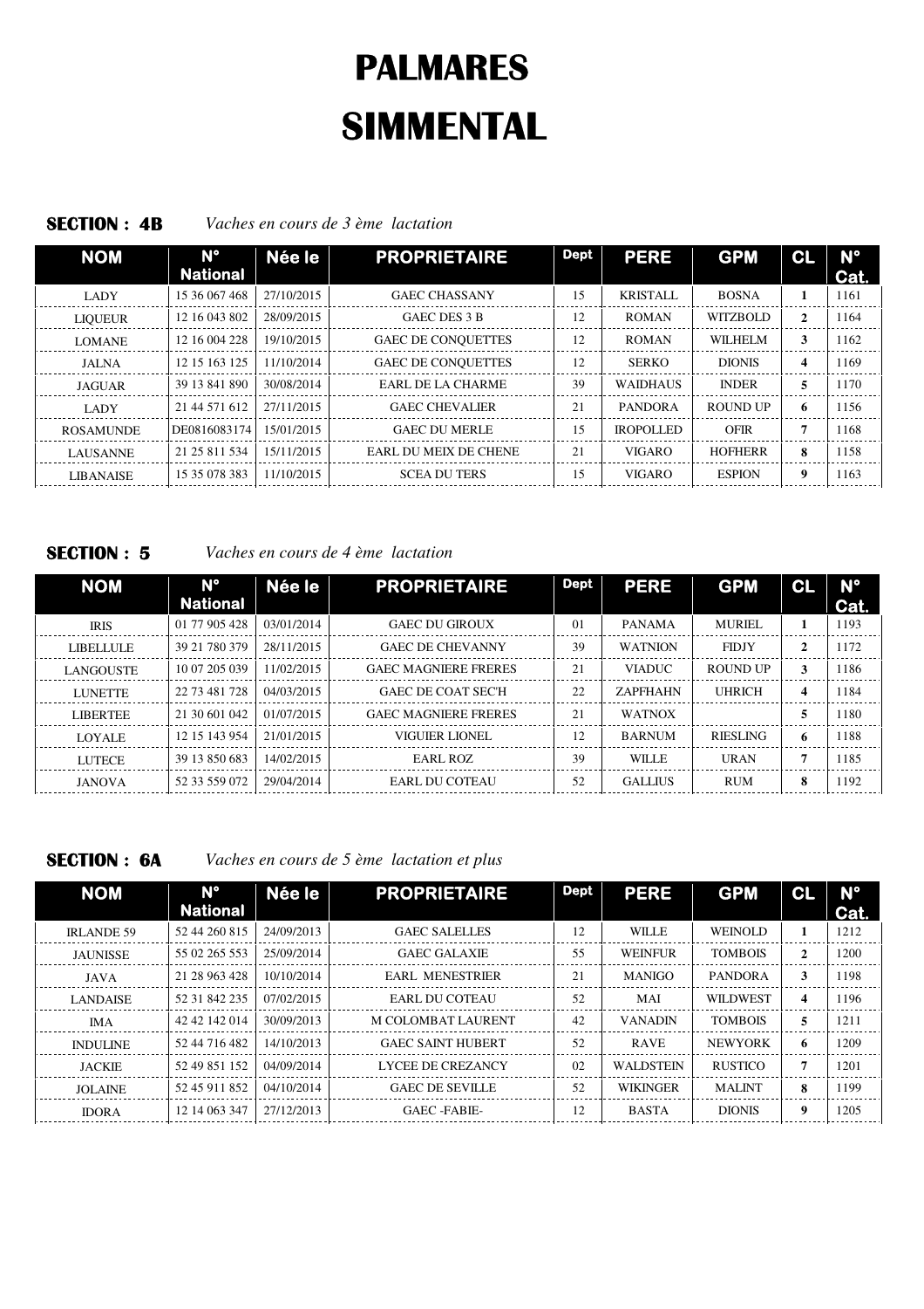## **SECTION : 4B** *Vaches en cours de 3 ème lactation*

| <b>NOM</b>       | $N^{\circ}$<br><b>National</b> | Née le     | <b>PROPRIETAIRE</b>          | <b>Dept</b> | <b>PERE</b>      | <b>GPM</b>      | CL | $N^{\circ}$<br>Cat. |
|------------------|--------------------------------|------------|------------------------------|-------------|------------------|-----------------|----|---------------------|
| <b>LADY</b>      | 15 36 067 468                  | 27/10/2015 | <b>GAEC CHASSANY</b>         | 15          | <b>KRISTALL</b>  | <b>BOSNA</b>    |    | 1161                |
| <b>LIQUEUR</b>   | 12 16 043 802                  | 28/09/2015 | GAEC DES 3 B                 | 12          | <b>ROMAN</b>     | <b>WITZBOLD</b> | 2  | 1164                |
| <b>LOMANE</b>    | 12 16 004 228                  | 19/10/2015 | <b>GAEC DE CONQUETTES</b>    | 12          | <b>ROMAN</b>     | <b>WILHELM</b>  | 3  | 1162                |
| JALNA            | 12 15 163 125                  | 11/10/2014 | <b>GAEC DE CONQUETTES</b>    | 12          | <b>SERKO</b>     | <b>DIONIS</b>   | 4  | 1169                |
| <b>JAGUAR</b>    | 39 13 841 890                  | 30/08/2014 | EARL DE LA CHARME            | 39          | <b>WAIDHAUS</b>  | <b>INDER</b>    | 5  | 1170                |
| LADY             | 21 44 571 612                  | 27/11/2015 | <b>GAEC CHEVALIER</b>        | 21          | <b>PANDORA</b>   | <b>ROUND UP</b> | 6  | 1156                |
| <b>ROSAMUNDE</b> | DE0816083174                   | 15/01/2015 | <b>GAEC DU MERLE</b>         | 15          | <b>IROPOLLED</b> | <b>OFIR</b>     |    | 1168                |
| <b>LAUSANNE</b>  | 21 25 811 534                  | 15/11/2015 | <b>EARL DU MEIX DE CHENE</b> | 21          | <b>VIGARO</b>    | <b>HOFHERR</b>  | 8  | 1158                |
| <b>LIBANAISE</b> | 15 35 078 383                  | 11/10/2015 | <b>SCEA DU TERS</b>          | 15          | <b>VIGARO</b>    | <b>ESPION</b>   | 9  | 1163                |

# **SECTION : 5** *Vaches en cours de 4 ème lactation*

| <b>NOM</b>       | $N^{\circ}$<br><b>National</b> | Née le     | <b>PROPRIETAIRE</b>         | <b>Dept</b>    | <b>PERE</b>     | <b>GPM</b>      | CL           | $N^{\circ}$<br>Cat. |
|------------------|--------------------------------|------------|-----------------------------|----------------|-----------------|-----------------|--------------|---------------------|
| <b>IRIS</b>      | 01 77 905 428                  | 03/01/2014 | <b>GAEC DU GIROUX</b>       | 0 <sub>1</sub> | <b>PANAMA</b>   | <b>MURIEL</b>   |              | 1193                |
| <b>LIBELLULE</b> | 39 21 780 379                  | 28/11/2015 | <b>GAEC DE CHEVANNY</b>     | 39             | <b>WATNION</b>  | <b>FIDJY</b>    | $\mathbf{2}$ | 1172                |
| <b>LANGOUSTE</b> | 10 07 205 039                  | 11/02/2015 | <b>GAEC MAGNIERE FRERES</b> | 21             | <b>VIADUC</b>   | ROUND UP        | 3            | 1186                |
| <b>LUNETTE</b>   | 22 73 481 728                  | 04/03/2015 | <b>GAEC DE COAT SEC'H</b>   | 22             | <b>ZAPFHAHN</b> | <b>UHRICH</b>   | 4            | 1184                |
| <b>LIBERTEE</b>  | 21 30 601 042                  | 01/07/2015 | <b>GAEC MAGNIERE FRERES</b> | 21             | <b>WATNOX</b>   |                 | 5            | 1180                |
| <b>LOYALE</b>    | 12 15 143 954                  | 21/01/2015 | VIGUIER LIONEL              | 12             | <b>BARNUM</b>   | <b>RIESLING</b> | 6            | 1188                |
| <b>LUTECE</b>    | 39 13 850 683                  | 14/02/2015 | EARL ROZ                    | 39             | WILLE           | <b>URAN</b>     | ŋ            | 1185                |
| <b>JANOVA</b>    | 52 33 559 072                  | 29/04/2014 | EARL DU COTEAU              | 52             | <b>GALLIUS</b>  | <b>RUM</b>      | 8            | 1192                |

**SECTION : 6A** *Vaches en cours de 5 ème lactation et plus*

| <b>NOM</b>        | $N^{\circ}$<br><b>National</b> | Née le     | <b>PROPRIETAIRE</b>      | <b>Dept</b> | <b>PERE</b>      | <b>GPM</b>      | <b>CL</b>    | $N^{\circ}$<br>Cat. |
|-------------------|--------------------------------|------------|--------------------------|-------------|------------------|-----------------|--------------|---------------------|
| <b>IRLANDE 59</b> | 52 44 260 815                  | 24/09/2013 | <b>GAEC SALELLES</b>     | 12          | WILLE            | <b>WEINOLD</b>  |              | 1212                |
| <b>JAUNISSE</b>   | 55 02 265 553                  | 25/09/2014 | <b>GAEC GALAXIE</b>      | 55          | <b>WEINFUR</b>   | <b>TOMBOIS</b>  | $\mathbf{2}$ | 1200                |
| JAVA              | 21 28 963 428                  | 10/10/2014 | <b>EARL MENESTRIER</b>   | 21          | <b>MANIGO</b>    | <b>PANDORA</b>  | 3            | 1198                |
| <b>LANDAISE</b>   | 52 31 842 235                  | 07/02/2015 | EARL DU COTEAU           | 52          | MAI              | <b>WILDWEST</b> | 4            | 1196                |
| <b>IMA</b>        | 42 42 142 014                  | 30/09/2013 | M COLOMBAT LAURENT       | 42          | <b>VANADIN</b>   | <b>TOMBOIS</b>  | 5            | 1211                |
| <b>INDULINE</b>   | 52 44 716 482                  | 14/10/2013 | <b>GAEC SAINT HUBERT</b> | 52          | <b>RAVE</b>      | <b>NEWYORK</b>  | 6            | 1209                |
| <b>JACKIE</b>     | 52 49 851 152                  | 04/09/2014 | LYCEE DE CREZANCY        | 02          | <b>WALDSTEIN</b> | <b>RUSTICO</b>  |              | 1201                |
| <b>JOLAINE</b>    | 52 45 911 852                  | 04/10/2014 | <b>GAEC DE SEVILLE</b>   | 52          | <b>WIKINGER</b>  | <b>MALINT</b>   | 8            | 1199                |
| <b>IDORA</b>      | 12 14 063 347                  | 27/12/2013 | GAEC -FABIE-             | 12          | <b>BASTA</b>     | <b>DIONIS</b>   | 9            | 1205                |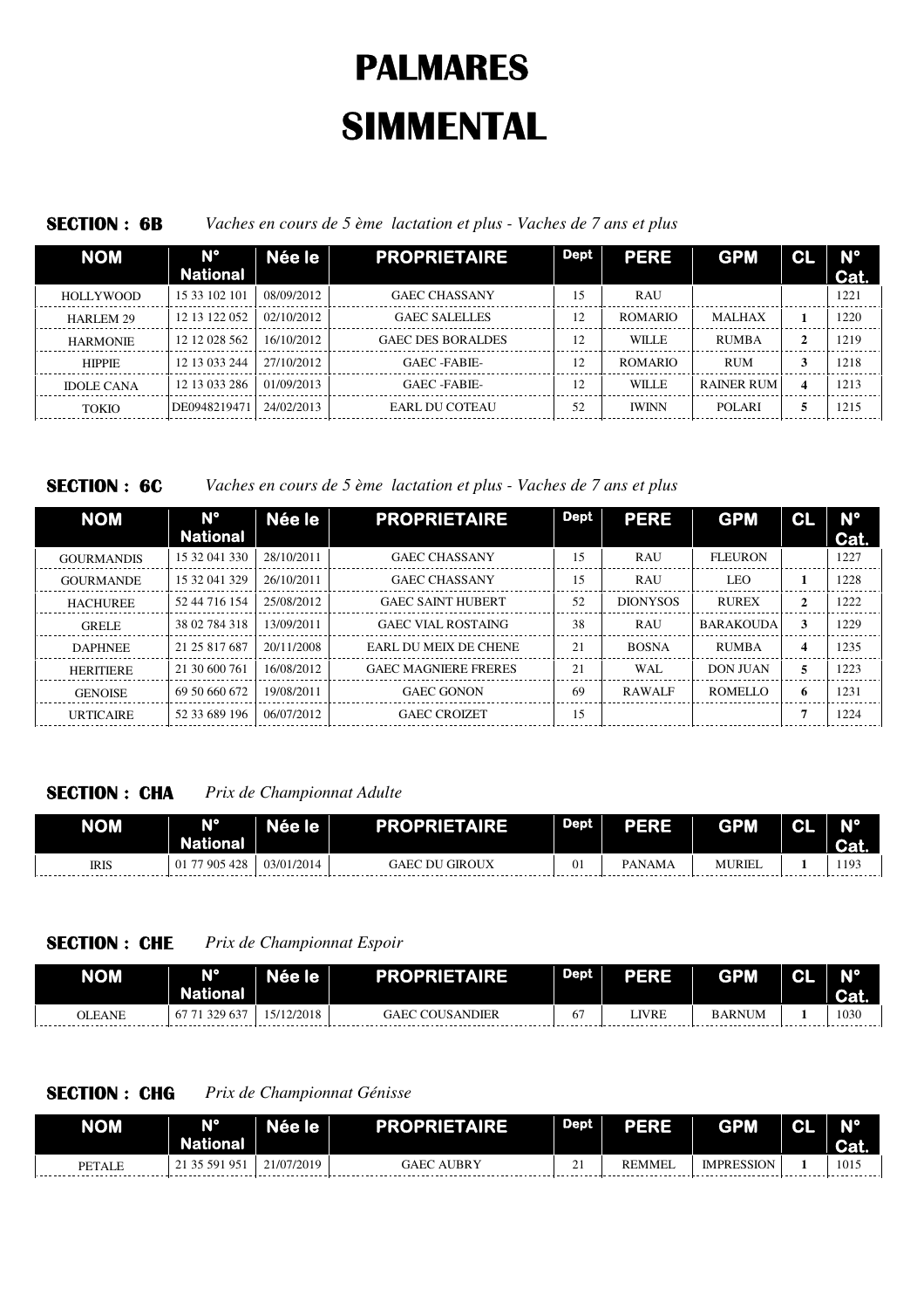## **SECTION : 6B** *Vaches en cours de 5 ème lactation et plus - Vaches de 7 ans et plus*

| <b>NOM</b>        | $N^{\circ}$<br><b>National</b> | Née le     | <b>PROPRIETAIRE</b>      | <b>Dept</b> | <b>PERE</b>    | <b>GPM</b>    | <b>CL</b> | $N^{\circ}$<br>Cat. |
|-------------------|--------------------------------|------------|--------------------------|-------------|----------------|---------------|-----------|---------------------|
| <b>HOLLYWOOD</b>  | 15 33 102 101                  | 08/09/2012 | <b>GAEC CHASSANY</b>     | 15          | <b>RAU</b>     |               |           | 1221                |
| HARLEM 29         | 12 13 122 052                  | 02/10/2012 | <b>GAEC SALELLES</b>     | 12          | <b>ROMARIO</b> | <b>MALHAX</b> |           | 1220                |
| <b>HARMONIE</b>   | 12 12 028 562                  | 16/10/2012 | <b>GAEC DES BORALDES</b> | 12          | <b>WILLE</b>   | <b>RUMBA</b>  | 2         | 1219                |
| <b>HIPPIE</b>     | 12 13 033 244                  | 27/10/2012 | GAEC -FABIE-             | 12          | <b>ROMARIO</b> | <b>RUM</b>    | 3         | 1218                |
| <b>IDOLE CANA</b> | 12 13 033 286                  | 01/09/2013 | GAEC -FABIE-             | 12          | <b>WILLE</b>   | RAINER RUM    | 4         | 1213                |
| <b>TOKIO</b>      | DE0948219471                   | 24/02/2013 | EARL DU COTEAU           | 52          | <b>IWINN</b>   | <b>POLARI</b> |           | 1215                |

**SECTION : 6C** *Vaches en cours de 5 ème lactation et plus - Vaches de 7 ans et plus*

| <b>NOM</b>        | $N^{\circ}$<br><b>National</b> | Née le     | <b>PROPRIETAIRE</b>         | <b>Dept</b> | <b>PERE</b>     | <b>GPM</b>       | CL | $N^{\circ}$<br>Cat. |
|-------------------|--------------------------------|------------|-----------------------------|-------------|-----------------|------------------|----|---------------------|
| <b>GOURMANDIS</b> | 15 32 041 330                  | 28/10/2011 | <b>GAEC CHASSANY</b>        | 15          | <b>RAU</b>      | <b>FLEURON</b>   |    | 1227                |
| <b>GOURMANDE</b>  | 15 32 041 329                  | 26/10/2011 | <b>GAEC CHASSANY</b>        | 15          | <b>RAU</b>      | LEO              |    | 1228                |
| <b>HACHUREE</b>   | 52 44 716 154                  | 25/08/2012 | <b>GAEC SAINT HUBERT</b>    | 52          | <b>DIONYSOS</b> | <b>RUREX</b>     | 2  | 1222                |
| <b>GRELE</b>      | 38 02 784 318                  | 13/09/2011 | <b>GAEC VIAL ROSTAING</b>   | 38          | <b>RAU</b>      | <b>BARAKOUDA</b> | 3  | 1229                |
| <b>DAPHNEE</b>    | 21 25 817 687                  | 20/11/2008 | EARL DU MEIX DE CHENE       | 21          | <b>BOSNA</b>    | <b>RUMBA</b>     | 4  | 1235                |
| <b>HERITIERE</b>  | 21 30 600 761                  | 16/08/2012 | <b>GAEC MAGNIERE FRERES</b> | 21          | WAL.            | <b>DON JUAN</b>  | 5  | 1223                |
| <b>GENOISE</b>    | 69 50 660 672                  | 19/08/2011 | <b>GAEC GONON</b>           | 69          | <b>RAWALF</b>   | <b>ROMELLO</b>   | 6  | 1231                |
| <b>URTICAIRE</b>  | 52 33 689 196                  | 06/07/2012 | <b>GAEC CROIZET</b>         | 15          |                 |                  |    | 1224                |

# **SECTION : CHA** *Prix de Championnat Adulte*

| <b>NOM</b>  | <b>N°</b><br><b>National</b> | Née le     | <b>PROPRIETAIRE</b>   | <b>Dept</b> | PERE          | <b>GPM</b>    | 2 | N°<br><b>TG</b> <sub>a</sub> |
|-------------|------------------------------|------------|-----------------------|-------------|---------------|---------------|---|------------------------------|
| <b>IRIS</b> | 77 905 428<br>01             | 03/01/2014 | <b>GAEC DU GIROUX</b> |             | <b>PANAMA</b> | <b>MURIEL</b> |   | 1193                         |

# **SECTION : CHE** *Prix de Championnat Espoir*

| <b>NOM</b>    | <b>N°</b><br><b>National</b> | Née le     | <b>PROPRIETAIRE</b>    | Dept | <b>PERE</b> | <b>GPM</b>    | s | N°<br><b>Cat.</b> |
|---------------|------------------------------|------------|------------------------|------|-------------|---------------|---|-------------------|
| <b>OLEANE</b> | 71 329 637<br>67             | 15/12/2018 | <b>GAEC COUSANDIER</b> | 6    | LIVRE       | <b>BARNUM</b> |   | 1030              |

# **SECTION : CHG** *Prix de Championnat Génisse*

| <b>NOM</b>    | N°<br><b>National</b> | Née le     | <b>PROPRIETAIRE</b>  | Dept        | <b>PERE</b>   | <b>GPM</b>        | Ωl | N°<br><b>Cal.</b> |
|---------------|-----------------------|------------|----------------------|-------------|---------------|-------------------|----|-------------------|
| <b>PETALE</b> | $95_1$<br>35 591      | 21/07/2019 | <b>AUBRY</b><br>GAEC | $\sim$<br>- | <b>REMMEL</b> | <b>IMPRESSION</b> |    | 1015              |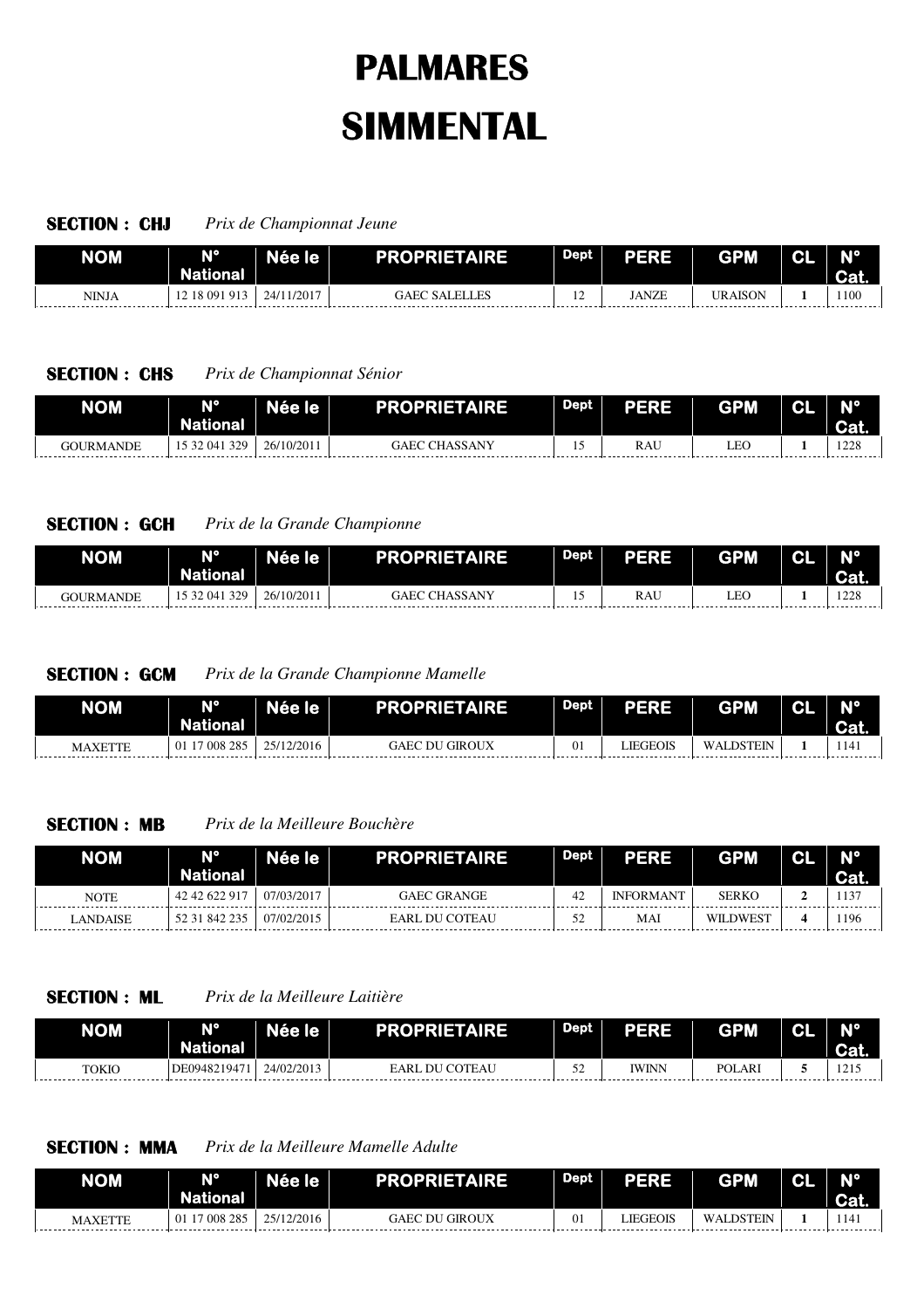### **SECTION : CHJ** *Prix de Championnat Jeune*

| <b>NOM</b> | $N^{\circ}$<br>National | Née le     | <b>PROPRIETAIRE</b>  | Dept     | <b>PERE</b>  | <b>GPM</b>     | יי | <b>ATO</b> |
|------------|-------------------------|------------|----------------------|----------|--------------|----------------|----|------------|
| NINJA      | 18 091 913              | 24/11/2017 | <b>GAEC SALELLES</b> | ╭<br>. . | <b>JANZE</b> | <b>TRAISON</b> |    | 1100       |

## **SECTION : CHS** *Prix de Championnat Sénior*

| NOM                                                                                                                                                                                                                                                   | N°<br><b>National</b>   | <b>Ree lez</b> | <b>PROPRIETAIRE</b>     | Dept | PERE       | <b>GPM</b><br>11.1. | ~ | AIO.          |
|-------------------------------------------------------------------------------------------------------------------------------------------------------------------------------------------------------------------------------------------------------|-------------------------|----------------|-------------------------|------|------------|---------------------|---|---------------|
| <b>GOURMANDE</b><br>$\mathbf{r}$ . The contract of the contract of the contract of the contract of the contract of the contract of the contract of the contract of the contract of the contract of the contract of the contract of the contract of th | 329<br>04<br>ے ر<br>. . | 26/10/2011     | <b>CHASSANY</b><br>GAEC |      | <b>RAU</b> | LEO                 |   | 228<br>- 1446 |

# **SECTION : GCH** *Prix de la Grande Championne*

| <b>NOM</b> | N°<br><b>National</b> | Née le     | <b>PROPRIETAIRE</b>     | <b>Dept</b> | PERE | <b>GPM</b> | 2 | mо.         |
|------------|-----------------------|------------|-------------------------|-------------|------|------------|---|-------------|
| GOURMANDE  | 329<br>., 32 041      | 26/10/2011 | <b>CHASSANY</b><br>GAEC | . .         | RAU  | LEC        |   | 228<br>-220 |

## **SECTION : GCM** *Prix de la Grande Championne Mamelle*

| <b>NOM</b>     | <b>N°</b><br><b>National</b> | Née le <b>l</b> | <b>PROPRIETAIRE</b> | Dept | <b>PERE</b> | <b>GPM</b>       | C.I | $N^{\circ}$<br><b>Cal.</b> |
|----------------|------------------------------|-----------------|---------------------|------|-------------|------------------|-----|----------------------------|
| <b>MAXETTE</b> | 7 008 285                    | 25/12/2016      | GAEC DU GIROUX      |      | LIEGEOIS    | <b>WALDSTEIN</b> |     | 1141                       |

### **SECTION : MB** *Prix de la Meilleure Bouchère*

| <b>NOM</b>  | <b>N°</b><br>National | Née le     | <b>PROPRIETAIRE</b>   | <b>Dept</b> | <b>PERE</b>      | <b>GPM</b>      | N°<br><b>Cat.</b> |
|-------------|-----------------------|------------|-----------------------|-------------|------------------|-----------------|-------------------|
| <b>NOTE</b> | 42 42 622 917         | 07/03/2017 | <b>GAEC GRANGE</b>    | 42          | <b>INFORMANT</b> | <b>SERKO</b>    |                   |
| LANDAISE    | 52 31 842 235         | 07/02/2015 | <b>EARL DU COTEAU</b> | 52          | <b>MA</b>        | <b>WILDWEST</b> | 1196              |

### **SECTION : ML** *Prix de la Meilleure Laitière*

| NOM   | N°<br><b>National</b> | NZ<br>e le | AISE<br>eroede      | Dept             | <b>ERE</b>   | <b>ACPT</b>   | cт | N0<br>Toa. |
|-------|-----------------------|------------|---------------------|------------------|--------------|---------------|----|------------|
| TOKIC | DE0948219471          | 24/02/201  | . DU COTEAU<br>EARL | ση<br><u>. .</u> | <b>IWINN</b> | <b>POLARI</b> |    | 1215       |

## **SECTION : MMA** *Prix de la Meilleure Mamelle Adulte*

| <b>NOM</b> | N°<br><b>National</b> | Née le     | <b>PROPRIETAIRE</b>   | <b>Dept</b> | PERE     | <b>GPM</b>       | 2 | ATO. |
|------------|-----------------------|------------|-----------------------|-------------|----------|------------------|---|------|
| MAXETTE    | 008285<br>01          | 25/12/2016 | <b>GAEC DU GIROUX</b> | U±          | LIEGEOIS | <b>WALDSTEIN</b> |   | 1141 |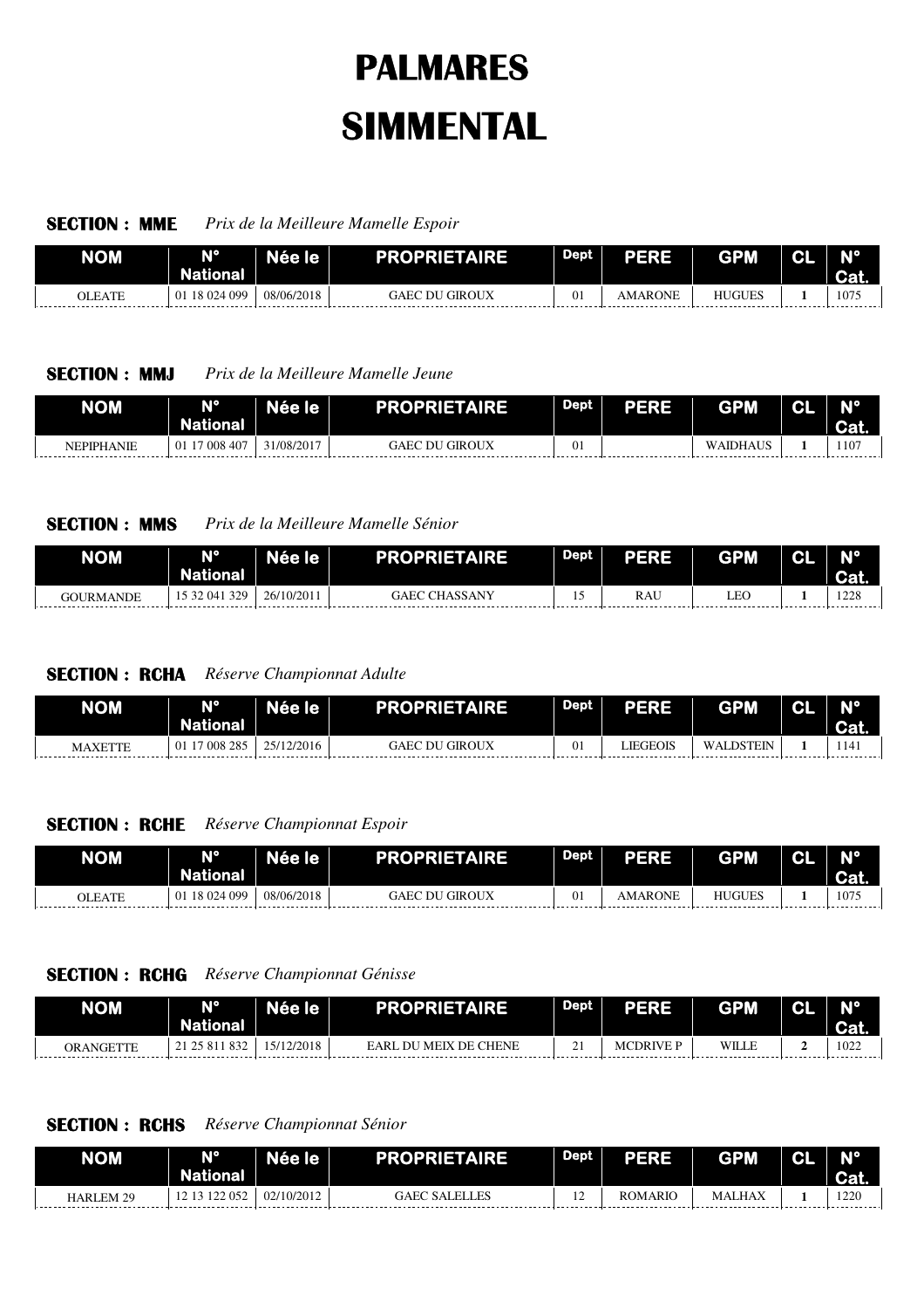### **SECTION : MME** *Prix de la Meilleure Mamelle Espoir*

| <b>NOM</b> | AIO.<br><b>National</b> | Née le l   | <b>PROPRIETAIRE</b>   | Dept | PERE    | <b>GPM</b>    | N | $N^{\circ}$<br>Cat |
|------------|-------------------------|------------|-----------------------|------|---------|---------------|---|--------------------|
| OLEATE     | 18 024 099<br>01        | 08/06/2018 | <b>GAEC DU GIROUX</b> | v.   | AMARONE | <b>HUGUES</b> |   | 1075               |

## **SECTION : MMJ** *Prix de la Meilleure Mamelle Jeune*

| <b>NOM</b> | $\sqrt{10}$<br>National | <b>le</b> | <b>AIRE</b><br><b>PROPRIET/</b> | <b>Dept</b> | ERE<br>- 1<br>-<br>- 1 | <b>GPM</b>           | æ | <b>AIO</b> |
|------------|-------------------------|-----------|---------------------------------|-------------|------------------------|----------------------|---|------------|
| NEPIPHANIE | , 008 407               | 1/08/2017 | GIROUX<br>DU<br>GAEC            |             |                        | WAIDHAU <sub>2</sub> |   | 1107       |

## **SECTION : MMS** *Prix de la Meilleure Mamelle Sénior*

| <b>NOM</b> | A10<br><b>National</b> | Née le     | <b>PROPRIETAIRE</b>     | Dept <sup>1</sup> | PERE | <b>GPM</b> | ΩI<br>. . | N°<br><b>Cat.</b> |
|------------|------------------------|------------|-------------------------|-------------------|------|------------|-----------|-------------------|
| GOURMANDE  | 329<br>$04^{\circ}$    | 26/10/2011 | <b>CHASSANY</b><br>GAEC |                   | RAU  | LEC        |           | 1228              |

## **SECTION : RCHA** *Réserve Championnat Adulte*

| <b>NOM</b>     | MO<br><b>National</b> | Née le'    | <b>PROPRIETAIRE</b> | <b>Dept</b> | <b>PERE</b> | <b>GPM</b> | ΩI | N°<br><b>Cal.</b>             |
|----------------|-----------------------|------------|---------------------|-------------|-------------|------------|----|-------------------------------|
| <b>MAXETTE</b> | 17 008 285<br>01      | 25/12/2016 | ' GIROUX<br>GAEC DU | 01          | LIEGEOIS    | WALDSTEIN  |    | 1141<br>--------------------- |

## **SECTION : RCHE** *Réserve Championnat Espoir*

| <b>NOM</b> | NO<br><b>National</b> | Née le'    | <b>PROPRIETAIRE</b>      | Dept | PERE    | <b>GPM</b>    | ~ | <b>AIO</b><br>Cat. |
|------------|-----------------------|------------|--------------------------|------|---------|---------------|---|--------------------|
| OLEATE     | 18 024 099<br>01      | 08/06/2018 | ' GIROUX<br>GAEC<br>. DU | 01   | AMARONE | <b>HUGUES</b> |   | 1075               |

### **SECTION : RCHG** *Réserve Championnat Génisse*

| <b>NOM</b> | <b>N°</b><br>National | lée le     | <b>PROPRIETAIRE</b>   | <b>Dept</b> | <b>PERE</b> | <b>GPM</b> | <u>мо.</u> |
|------------|-----------------------|------------|-----------------------|-------------|-------------|------------|------------|
| ORANGETTE  | 832<br>21 25 811      | 15/12/2018 | EARL DU MEIX DE CHENE | <u>.</u>    | MCDRIVE P   | WILLE      | 1022       |

# **SECTION : RCHS** *Réserve Championnat Sénior*

| <b>NOM</b> | <b>N°</b><br><b>National</b> | Née le     | <b>PROPRIETAIRE</b>  | <b>Dept</b>   | PERE    | <b>GPM</b> | ΩI | <b>Nº</b><br>Cat. |
|------------|------------------------------|------------|----------------------|---------------|---------|------------|----|-------------------|
| HARLEM 29  | 122 052<br>1213              | 02/10/2012 | <b>GAEC SALELLES</b> | $\sim$<br>. . | ROMARIO | MALHAX     |    | 1220              |